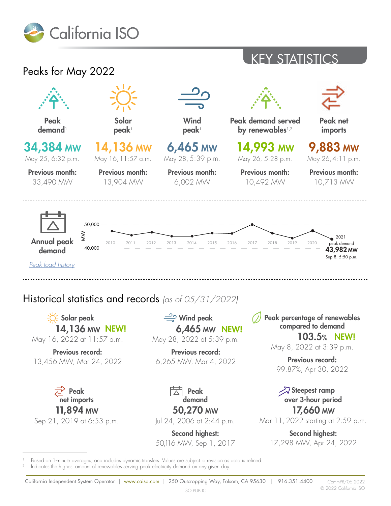

### KEY STATISTICS



13,456 MW, Mar 24, 2022

Peak net imports 11,894 MW Sep 21, 2019 at 6:53 p.m. 6,265 MW, Mar 4, 2022

Peak demand 50,270 MW

Jul 24, 2006 at 2:44 p.m.

Second highest: 50,116 MW, Sep 1, 2017

Previous record: 99.87%, Apr 30, 2022

#### Steepest ramp over 3-hour period 17,660 MW

Mar 11, 2022 starting at 2:59 p.m.

Second highest: 17,298 MW, Apr 24, 2022

Based on 1-minute averages, and includes dynamic transfers. Values are subject to revision as data is refined. Indicates the highest amount of renewables serving peak electricity demand on any given day.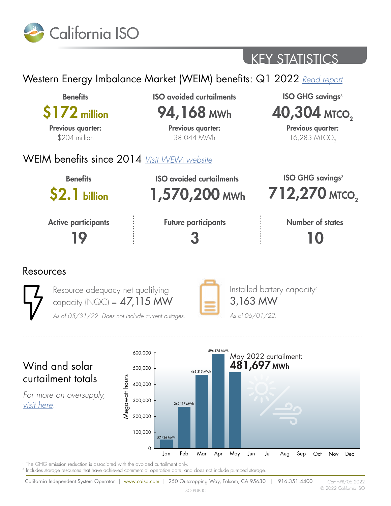

# KEY STATISTICS

### Western Energy Imbalance Market (WEIM) benefits: Q1 2022 *[Read report](https://www.westerneim.com/Documents/ISO-Western-Energy-Imbalance-Market-Benefits-Report-Q1-2022.pdf)*



<sup>3</sup> The GHG emission reduction is associated with the avoided curtailment only.

4 Includes storage resources that have achieved commercial operation date, and does not include pumped storage.

Feb Mar Apr May Jun Jul Aug Sep Oct Nov Dec